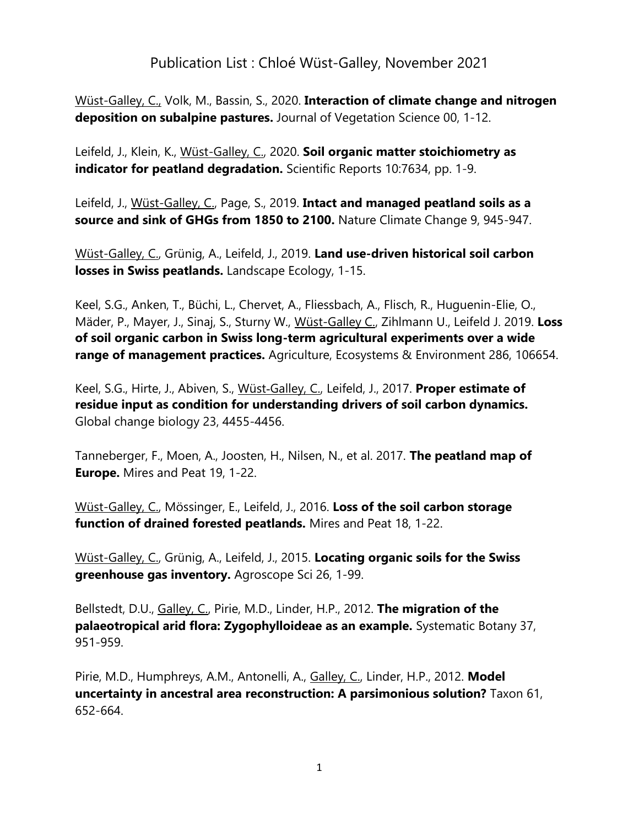## Publication List : Chloé Wüst-Galley, November 2021

Wüst-Galley, C., Volk, M., Bassin, S., 2020. **Interaction of climate change and nitrogen deposition on subalpine pastures.** Journal of Vegetation Science 00, 1-12.

Leifeld, J., Klein, K., Wüst-Galley, C., 2020. **Soil organic matter stoichiometry as indicator for peatland degradation.** Scientific Reports 10:7634, pp. 1-9.

Leifeld, J., Wüst-Galley, C., Page, S., 2019. **Intact and managed peatland soils as a source and sink of GHGs from 1850 to 2100.** Nature Climate Change 9, 945-947.

Wüst-Galley, C., Grünig, A., Leifeld, J., 2019. **Land use-driven historical soil carbon losses in Swiss peatlands.** Landscape Ecology, 1-15.

Keel, S.G., Anken, T., Büchi, L., Chervet, A., Fliessbach, A., Flisch, R., Huguenin-Elie, O., Mäder, P., Mayer, J., Sinaj, S., Sturny W., [Wüst-Galley C.,](https://www.agroscope.admin.ch/agroscope/de/home/ueber-uns/mitarbeitende/_jcr_content/par/externalcontent.external.exturl.html/aHR0cHM6Ly9pcmEuYWdyb3Njb3BlLmNoL2RlLUNIL0FqYXgvTW/l0YXJiZWl0ZXI_YWdyb3Njb3BlSWQ9NTIzOA==.html) [Zihlmann U.,](https://www.agroscope.admin.ch/agroscope/de/home/ueber-uns/mitarbeitende/_jcr_content/par/externalcontent.external.exturl.html/aHR0cHM6Ly9pcmEuYWdyb3Njb3BlLmNoL2RlLUNIL0FqYXgvTW/l0YXJiZWl0ZXI_YWdyb3Njb3BlSWQ9NTI0Mg==.html) [Leifeld J.](https://www.agroscope.admin.ch/agroscope/de/home/ueber-uns/mitarbeitende/_jcr_content/par/externalcontent.external.exturl.html/aHR0cHM6Ly9pcmEuYWdyb3Njb3BlLmNoL2RlLUNIL0FqYXgvTW/l0YXJiZWl0ZXI_YWdyb3Njb3BlSWQ9NTEyOQ==.html) 2019. **Loss of soil organic carbon in Swiss long-term agricultural experiments over a wide range of management practices.** Agriculture, Ecosystems & Environment 286, 106654.

Keel, S.G., Hirte, J., Abiven, S., Wüst‐Galley, C., Leifeld, J., 2017. **Proper estimate of residue input as condition for understanding drivers of soil carbon dynamics.** Global change biology 23, 4455-4456.

Tanneberger, F., Moen, A., Joosten, H., Nilsen, N., et al. 2017. **The peatland map of Europe.** Mires and Peat 19, 1-22.

Wüst-Galley, C., Mössinger, E., Leifeld, J., 2016. **Loss of the soil carbon storage function of drained forested peatlands.** Mires and Peat 18, 1-22.

Wüst-Galley, C., Grünig, A., Leifeld, J., 2015. **Locating organic soils for the Swiss greenhouse gas inventory.** Agroscope Sci 26, 1-99.

Bellstedt, D.U., Galley, C., Pirie, M.D., Linder, H.P., 2012. **The migration of the palaeotropical arid flora: Zygophylloideae as an example.** Systematic Botany 37, 951-959.

Pirie, M.D., Humphreys, A.M., Antonelli, A., Galley, C., Linder, H.P., 2012. **Model uncertainty in ancestral area reconstruction: A parsimonious solution?** Taxon 61, 652-664.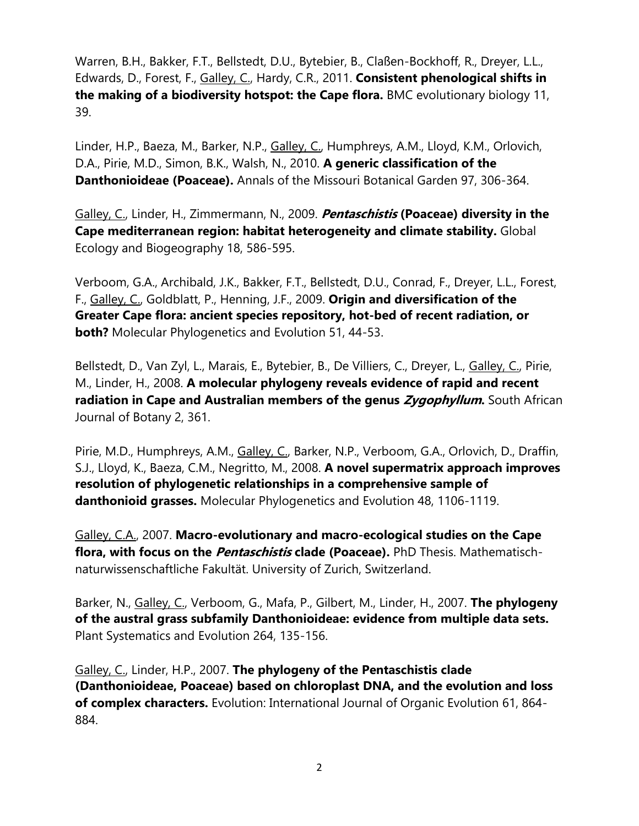Warren, B.H., Bakker, F.T., Bellstedt, D.U., Bytebier, B., Claßen-Bockhoff, R., Dreyer, L.L., Edwards, D., Forest, F., Galley, C., Hardy, C.R., 2011. **Consistent phenological shifts in the making of a biodiversity hotspot: the Cape flora.** BMC evolutionary biology 11, 39.

Linder, H.P., Baeza, M., Barker, N.P., Galley, C., Humphreys, A.M., Lloyd, K.M., Orlovich, D.A., Pirie, M.D., Simon, B.K., Walsh, N., 2010. **A generic classification of the Danthonioideae (Poaceae).** Annals of the Missouri Botanical Garden 97, 306-364.

Galley, C., Linder, H., Zimmermann, N., 2009. **Pentaschistis (Poaceae) diversity in the Cape mediterranean region: habitat heterogeneity and climate stability.** Global Ecology and Biogeography 18, 586-595.

Verboom, G.A., Archibald, J.K., Bakker, F.T., Bellstedt, D.U., Conrad, F., Dreyer, L.L., Forest, F., Galley, C., Goldblatt, P., Henning, J.F., 2009. **Origin and diversification of the Greater Cape flora: ancient species repository, hot-bed of recent radiation, or both?** Molecular Phylogenetics and Evolution 51, 44-53.

Bellstedt, D., Van Zyl, L., Marais, E., Bytebier, B., De Villiers, C., Dreyer, L., Galley, C., Pirie, M., Linder, H., 2008. **A molecular phylogeny reveals evidence of rapid and recent radiation in Cape and Australian members of the genus <b>Zygophyllum**. South African Journal of Botany 2, 361.

Pirie, M.D., Humphreys, A.M., Galley, C., Barker, N.P., Verboom, G.A., Orlovich, D., Draffin, S.J., Lloyd, K., Baeza, C.M., Negritto, M., 2008. **A novel supermatrix approach improves resolution of phylogenetic relationships in a comprehensive sample of danthonioid grasses.** Molecular Phylogenetics and Evolution 48, 1106-1119.

Galley, C.A., 2007. **Macro-evolutionary and macro-ecological studies on the Cape flora, with focus on the Pentaschistis clade (Poaceae).** PhD Thesis. Mathematischnaturwissenschaftliche Fakultät. University of Zurich, Switzerland.

Barker, N., Galley, C., Verboom, G., Mafa, P., Gilbert, M., Linder, H., 2007. **The phylogeny of the austral grass subfamily Danthonioideae: evidence from multiple data sets.**  Plant Systematics and Evolution 264, 135-156.

Galley, C., Linder, H.P., 2007. **The phylogeny of the Pentaschistis clade (Danthonioideae, Poaceae) based on chloroplast DNA, and the evolution and loss of complex characters.** Evolution: International Journal of Organic Evolution 61, 864- 884.